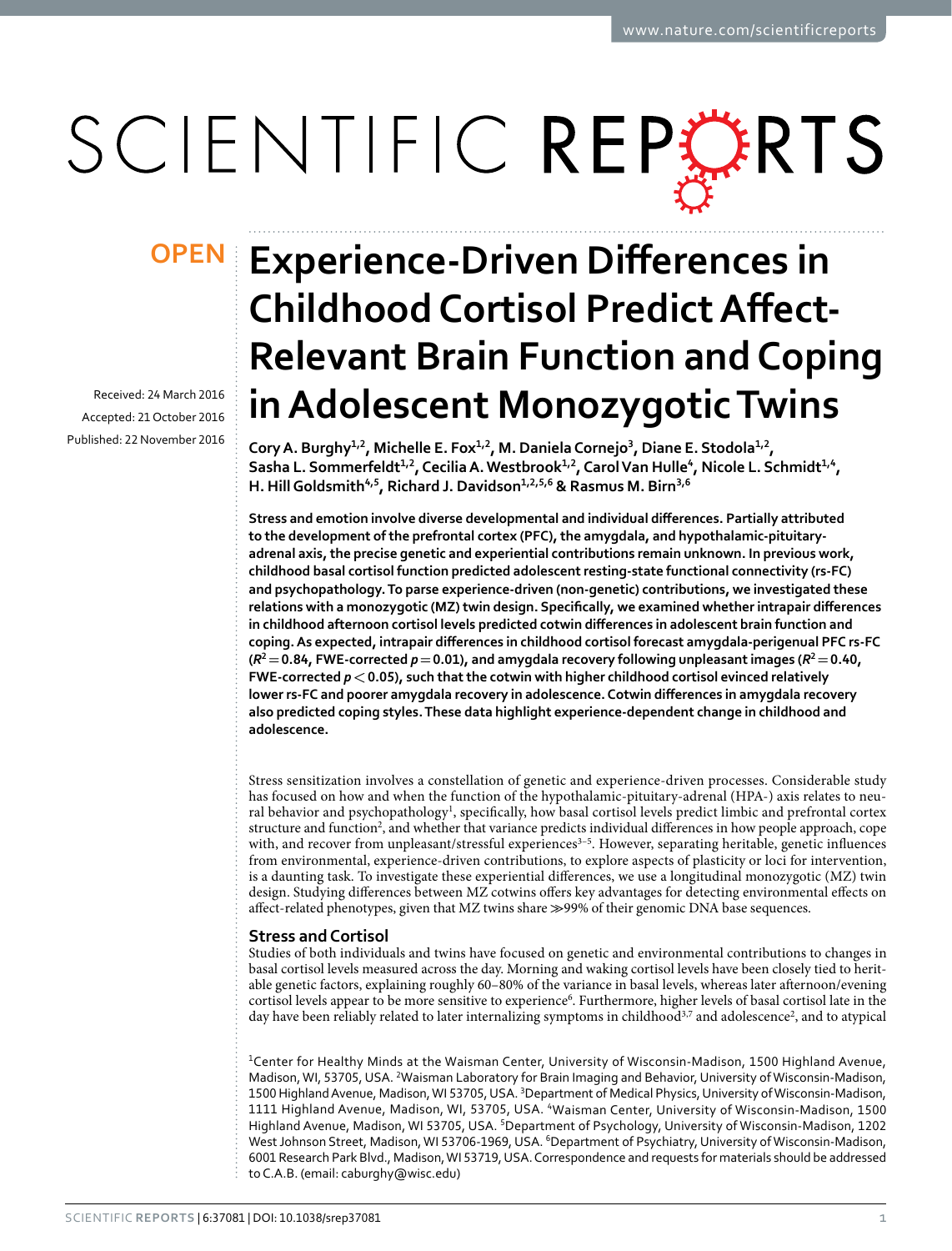# SCIENTIFIC REPERTS

Received: 24 March 2016 accepted: 21 October 2016 Published: 22 November 2016

## **Experience-Driven Differences in OPENChildhood Cortisol Predict Affect-Relevant Brain Function and Coping in Adolescent Monozygotic Twins**

**CoryA. Burghy1,2, Michelle E. Fox<sup>1</sup>,2, M. DanielaCornejo3, Diane E. Stodola<sup>1</sup>,<sup>2</sup>, Sasha L. Sommerfeldt<sup>1</sup>,2, CeciliaA.Westbrook1,<sup>2</sup>, CarolVan Hulle4, Nicole L. Schmidt<sup>1</sup>,<sup>4</sup>, H. HillGoldsmith4,5, Richard J. Davidson1,2,5,6 & Rasmus M. Birn<sup>3</sup>,<sup>6</sup>**

**Stress and emotion involve diverse developmental and individual differences. Partially attributed to the development of the prefrontal cortex (PFC), the amygdala, and hypothalamic-pituitaryadrenal axis, the precise genetic and experiential contributions remain unknown. In previous work, childhood basal cortisol function predicted adolescent resting-state functional connectivity (rs-FC) and psychopathology. To parse experience-driven (non-genetic) contributions, we investigated these relations with a monozygotic (MZ) twin design. Specifically, we examined whether intrapair differences in childhood afternoon cortisol levels predicted cotwin differences in adolescent brain function and coping. As expected, intrapair differences in childhood cortisol forecast amygdala-perigenual PFC rs-FC**   $(R^2 = 0.84$ , FWE-corrected  $p = 0.01$ ), and amygdala recovery following unpleasant images  $(R^2 = 0.40$ , **FWE-corrected** *p***<0.05), such that the cotwin with higher childhood cortisol evinced relatively lower rs-FC and poorer amygdala recovery in adolescence. Cotwin differences in amygdala recovery also predicted coping styles. These data highlight experience-dependent change in childhood and adolescence.**

Stress sensitization involves a constellation of genetic and experience-driven processes. Considerable study has focused on how and when the function of the hypothalamic-pituitary-adrenal (HPA-) axis relates to neu-ral behavior and psychopathology<sup>[1](#page-8-0)</sup>, specifically, how basal cortisol levels predict limbic and prefrontal cortex structure and function<sup>2</sup>, and whether that variance predicts individual differences in how people approach, cope with, and recover from unpleasant/stressful experiences<sup>3-5</sup>. However, separating heritable, genetic influences from environmental, experience-driven contributions, to explore aspects of plasticity or loci for intervention, is a daunting task. To investigate these experiential differences, we use a longitudinal monozygotic (MZ) twin design. Studying differences between MZ cotwins offers key advantages for detecting environmental effects on affect-related phenotypes, given that MZ twins share ≫99% of their genomic DNA base sequences.

### **Stress and Cortisol**

Studies of both individuals and twins have focused on genetic and environmental contributions to changes in basal cortisol levels measured across the day. Morning and waking cortisol levels have been closely tied to heritable genetic factors, explaining roughly 60–80% of the variance in basal levels, whereas later afternoon/evening cortisol levels appear to be more sensitive to experience<sup>6</sup>. Furthermore, higher levels of basal cortisol late in the day have been reliably related to later internalizing symptoms in childhood<sup>3,7</sup> and adolescence<sup>[2](#page-8-1)</sup>, and to atypical

1Center for Healthy Minds at the Waisman Center, University of Wisconsin-Madison, 1500 Highland Avenue, Madison, WI, 53705, USA. <sup>2</sup>Waisman Laboratory for Brain Imaging and Behavior, University of Wisconsin-Madison, 1500 Highland Avenue, Madison, WI 53705, USA. <sup>3</sup>Department of Medical Physics, University of Wisconsin-Madison, 1111 Highland Avenue, Madison, WI, 53705, USA. 4Waisman Center, University of Wisconsin-Madison, 1500 Highland Avenue, Madison, WI 53705, USA. <sup>5</sup>Department of Psychology, University of Wisconsin-Madison, 1202 West Johnson Street, Madison, WI 53706-1969, USA. <sup>6</sup>Department of Psychiatry, University of Wisconsin-Madison, 6001 Research Park Blvd., Madison, WI 53719, USA. Correspondence and requests for materials should be addressed to C.A.B. (email: [caburghy@wisc.edu\)](mailto:caburghy@wisc.edu)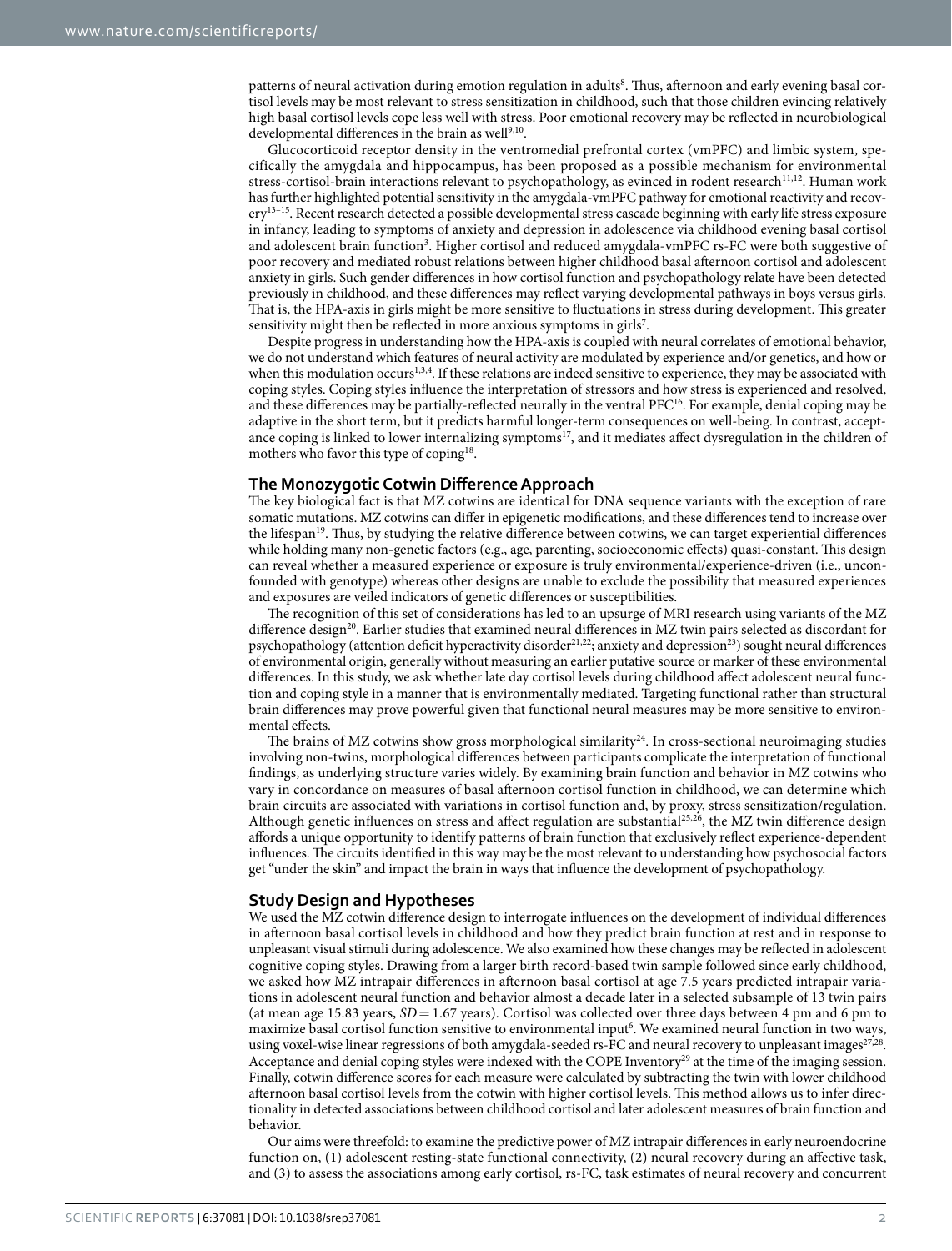patterns of neural activation during emotion regulation in adults<sup>8</sup>. Thus, afternoon and early evening basal cortisol levels may be most relevant to stress sensitization in childhood, such that those children evincing relatively high basal cortisol levels cope less well with stress. Poor emotional recovery may be reflected in neurobiological developmental differences in the brain as well<sup>[9,](#page-8-6)10</sup>.

Glucocorticoid receptor density in the ventromedial prefrontal cortex (vmPFC) and limbic system, specifically the amygdala and hippocampus, has been proposed as a possible mechanism for environmental stress-cortisol-brain interactions relevant to psychopathology, as evinced in rodent research<sup>11[,12](#page-8-9)</sup>. Human work has further highlighted potential sensitivity in the amygdala-vmPFC pathway for emotional reactivity and recovery<sup>13–15</sup>. Recent research detected a possible developmental stress cascade beginning with early life stress exposure in infancy, leading to symptoms of anxiety and depression in adolescence via childhood evening basal cortisol and adolescent brain function<sup>3</sup>. Higher cortisol and reduced amygdala-vmPFC rs-FC were both suggestive of poor recovery and mediated robust relations between higher childhood basal afternoon cortisol and adolescent anxiety in girls. Such gender differences in how cortisol function and psychopathology relate have been detected previously in childhood, and these differences may reflect varying developmental pathways in boys versus girls. That is, the HPA-axis in girls might be more sensitive to fluctuations in stress during development. This greater sensitivity might then be reflected in more anxious symptoms in girls<sup>7</sup>.

Despite progress in understanding how the HPA-axis is coupled with neural correlates of emotional behavior, we do not understand which features of neural activity are modulated by experience and/or genetics, and how or when this modulation occurs<sup>1[,3](#page-8-2)[,4](#page-8-11)</sup>. If these relations are indeed sensitive to experience, they may be associated with coping styles. Coping styles influence the interpretation of stressors and how stress is experienced and resolved, and these differences may be partially-reflected neurally in the ventral PF[C16](#page-8-12). For example, denial coping may be adaptive in the short term, but it predicts harmful longer-term consequences on well-being. In contrast, acceptance coping is linked to lower internalizing symptoms $17$ , and it mediates affect dysregulation in the children of mothers who favor this type of coping<sup>[18](#page-8-14)</sup>.

#### **The Monozygotic Cotwin Difference Approach**

The key biological fact is that MZ cotwins are identical for DNA sequence variants with the exception of rare somatic mutations. MZ cotwins can differ in epigenetic modifications, and these differences tend to increase over the lifespan<sup>[19](#page-8-15)</sup>. Thus, by studying the relative difference between cotwins, we can target experiential differences while holding many non-genetic factors (e.g., age, parenting, socioeconomic effects) quasi-constant. This design can reveal whether a measured experience or exposure is truly environmental/experience-driven (i.e., unconfounded with genotype) whereas other designs are unable to exclude the possibility that measured experiences and exposures are veiled indicators of genetic differences or susceptibilities.

The recognition of this set of considerations has led to an upsurge of MRI research using variants of the MZ difference design<sup>20</sup>. Earlier studies that examined neural differences in MZ twin pairs selected as discordant for psychopathology (attention deficit hyperactivity disorder<sup>21,22</sup>; anxiety and depression<sup>23</sup>) sought neural differences of environmental origin, generally without measuring an earlier putative source or marker of these environmental differences. In this study, we ask whether late day cortisol levels during childhood affect adolescent neural function and coping style in a manner that is environmentally mediated. Targeting functional rather than structural brain differences may prove powerful given that functional neural measures may be more sensitive to environmental effects.

The brains of MZ cotwins show gross morphological similarity<sup>24</sup>. In cross-sectional neuroimaging studies involving non-twins, morphological differences between participants complicate the interpretation of functional findings, as underlying structure varies widely. By examining brain function and behavior in MZ cotwins who vary in concordance on measures of basal afternoon cortisol function in childhood, we can determine which brain circuits are associated with variations in cortisol function and, by proxy, stress sensitization/regulation. Although genetic influences on stress and affect regulation are substantial<sup>25[,26](#page-9-2)</sup>, the MZ twin difference design affords a unique opportunity to identify patterns of brain function that exclusively reflect experience-dependent influences. The circuits identified in this way may be the most relevant to understanding how psychosocial factors get "under the skin" and impact the brain in ways that influence the development of psychopathology.

### **Study Design and Hypotheses**

We used the MZ cotwin difference design to interrogate influences on the development of individual differences in afternoon basal cortisol levels in childhood and how they predict brain function at rest and in response to unpleasant visual stimuli during adolescence. We also examined how these changes may be reflected in adolescent cognitive coping styles. Drawing from a larger birth record-based twin sample followed since early childhood, we asked how MZ intrapair differences in afternoon basal cortisol at age 7.5 years predicted intrapair variations in adolescent neural function and behavior almost a decade later in a selected subsample of 13 twin pairs (at mean age 15.83 years, *SD*= 1.67 years). Cortisol was collected over three days between 4 pm and 6 pm to maximize basal cortisol function sensitive to environmental input<sup>6</sup>. We examined neural function in two ways, using voxel-wise linear regressions of both amygdala-seeded rs-FC and neural recovery to unpleasant images<sup>27,28</sup>. Acceptance and denial coping styles were indexed with the COPE Inventory<sup>29</sup> at the time of the imaging session. Finally, cotwin difference scores for each measure were calculated by subtracting the twin with lower childhood afternoon basal cortisol levels from the cotwin with higher cortisol levels. This method allows us to infer directionality in detected associations between childhood cortisol and later adolescent measures of brain function and behavior.

Our aims were threefold: to examine the predictive power of MZ intrapair differences in early neuroendocrine function on, (1) adolescent resting-state functional connectivity, (2) neural recovery during an affective task, and (3) to assess the associations among early cortisol, rs-FC, task estimates of neural recovery and concurrent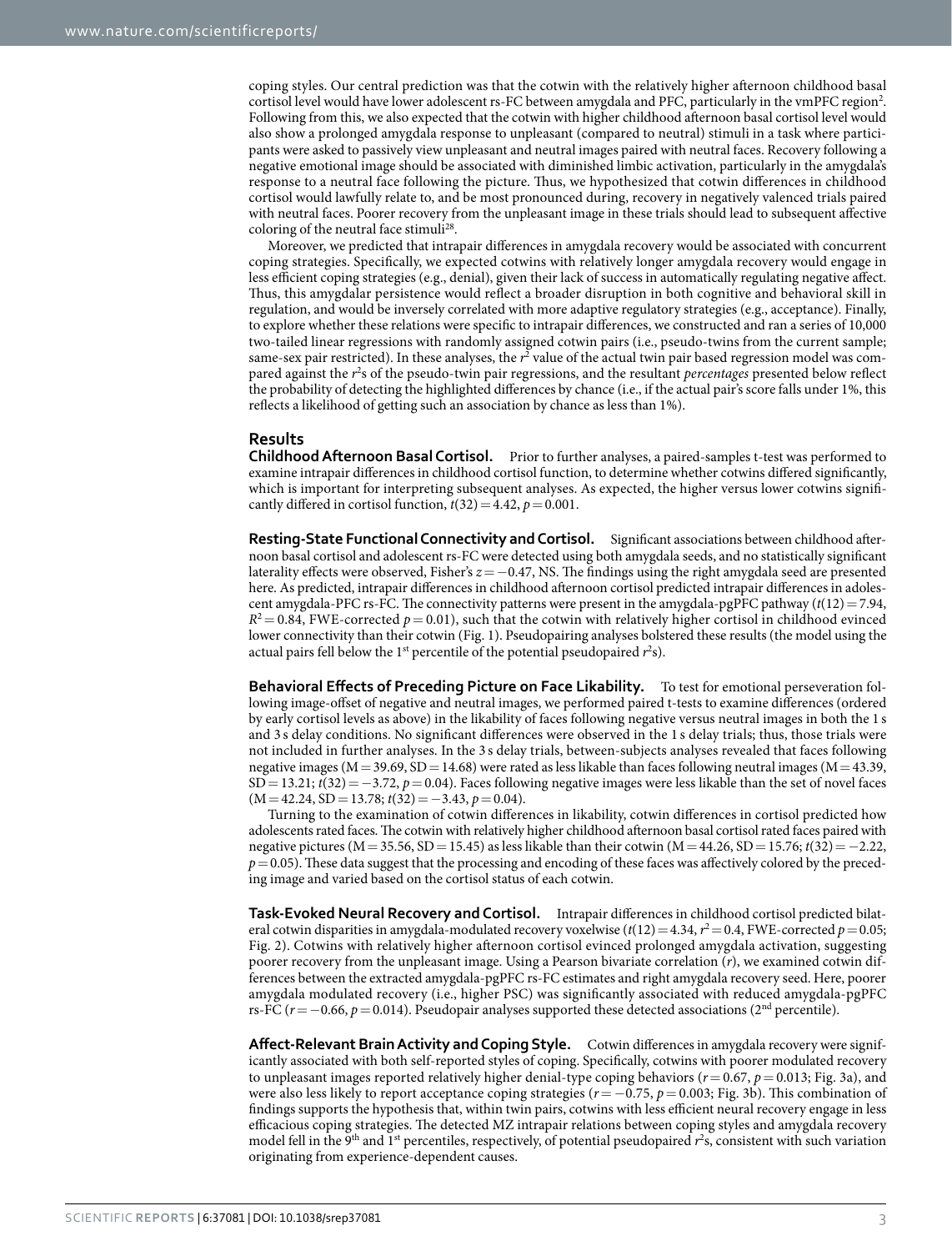coping styles. Our central prediction was that the cotwin with the relatively higher afternoon childhood basal cortisol level would have lower adolescent rs-FC between amygdala and PFC, particularly in the vmPFC region<sup>[2](#page-8-1)</sup>. Following from this, we also expected that the cotwin with higher childhood afternoon basal cortisol level would also show a prolonged amygdala response to unpleasant (compared to neutral) stimuli in a task where participants were asked to passively view unpleasant and neutral images paired with neutral faces. Recovery following a negative emotional image should be associated with diminished limbic activation, particularly in the amygdala's response to a neutral face following the picture. Thus, we hypothesized that cotwin differences in childhood cortisol would lawfully relate to, and be most pronounced during, recovery in negatively valenced trials paired with neutral faces. Poorer recovery from the unpleasant image in these trials should lead to subsequent affective coloring of the neutral face stimuli[28](#page-9-4).

Moreover, we predicted that intrapair differences in amygdala recovery would be associated with concurrent coping strategies. Specifically, we expected cotwins with relatively longer amygdala recovery would engage in less efficient coping strategies (e.g., denial), given their lack of success in automatically regulating negative affect. Thus, this amygdalar persistence would reflect a broader disruption in both cognitive and behavioral skill in regulation, and would be inversely correlated with more adaptive regulatory strategies (e.g., acceptance). Finally, to explore whether these relations were specific to intrapair differences, we constructed and ran a series of 10,000 two-tailed linear regressions with randomly assigned cotwin pairs (i.e., pseudo-twins from the current sample; same-sex pair restricted). In these analyses, the  $r^2$  value of the actual twin pair based regression model was compared against the *r*<sup>2</sup> s of the pseudo-twin pair regressions, and the resultant *percentages* presented below reflect the probability of detecting the highlighted differences by chance (i.e., if the actual pair's score falls under 1%, this reflects a likelihood of getting such an association by chance as less than 1%).

#### **Results**

**Childhood Afternoon Basal Cortisol.** Prior to further analyses, a paired-samples t-test was performed to examine intrapair differences in childhood cortisol function, to determine whether cotwins differed significantly, which is important for interpreting subsequent analyses. As expected, the higher versus lower cotwins significantly differed in cortisol function,  $t(32) = 4.42$ ,  $p = 0.001$ .

**Resting-State Functional Connectivity and Cortisol.** Significant associations between childhood afternoon basal cortisol and adolescent rs-FC were detected using both amygdala seeds, and no statistically significant laterality effects were observed, Fisher's *z*=−0.47, NS. The findings using the right amygdala seed are presented here. As predicted, intrapair differences in childhood afternoon cortisol predicted intrapair differences in adolescent amygdala-PFC rs-FC. The connectivity patterns were present in the amygdala-pgPFC pathway  $(t(12)=7.94$ ,  $R^2$  = 0.84, FWE-corrected  $p$  = 0.01), such that the cotwin with relatively higher cortisol in childhood evinced lower connectivity than their cotwin ([Fig. 1](#page-3-0)). Pseudopairing analyses bolstered these results (the model using the actual pairs fell below the  $1<sup>st</sup>$  percentile of the potential pseudopaired  $r<sup>2</sup>$ s).

**Behavioral Effects of Preceding Picture on Face Likability.** To test for emotional perseveration following image-offset of negative and neutral images, we performed paired t-tests to examine differences (ordered by early cortisol levels as above) in the likability of faces following negative versus neutral images in both the 1 s and 3 s delay conditions. No significant differences were observed in the 1 s delay trials; thus, those trials were not included in further analyses. In the 3 s delay trials, between-subjects analyses revealed that faces following negative images ( $M = 39.69$ ,  $SD = 14.68$ ) were rated as less likable than faces following neutral images ( $M = 43.39$ , SD = 13.21; *t*(32) = −3.72, *p* = 0.04). Faces following negative images were less likable than the set of novel faces (M=42.24, SD=13.78; *t*(32)=−3.43, *p*=0.04).

Turning to the examination of cotwin differences in likability, cotwin differences in cortisol predicted how adolescents rated faces. The cotwin with relatively higher childhood afternoon basal cortisol rated faces paired with negative pictures (M=35.56, SD=15.45) as less likable than their cotwin (M=44.26, SD=15.76; *t*(32)=−2.22,  $p = 0.05$ ). These data suggest that the processing and encoding of these faces was affectively colored by the preceding image and varied based on the cortisol status of each cotwin.

**Task-Evoked Neural Recovery and Cortisol.** Intrapair differences in childhood cortisol predicted bilateral cotwin disparities in amygdala-modulated recovery voxelwise  $(t(12)=4.34, r^2=0.4, FWE$ -corrected  $p=0.05;$ [Fig. 2](#page-4-0)). Cotwins with relatively higher afternoon cortisol evinced prolonged amygdala activation, suggesting poorer recovery from the unpleasant image. Using a Pearson bivariate correlation (*r*), we examined cotwin differences between the extracted amygdala-pgPFC rs-FC estimates and right amygdala recovery seed. Here, poorer amygdala modulated recovery (i.e., higher PSC) was significantly associated with reduced amygdala-pgPFC rs-FC (*r*=−0.66, *p*=0.014). Pseudopair analyses supported these detected associations (2nd percentile).

**Affect-Relevant Brain Activity and Coping Style.** Cotwin differences in amygdala recovery were significantly associated with both self-reported styles of coping. Specifically, cotwins with poorer modulated recovery to unpleasant images reported relatively higher denial-type coping behaviors (*r*= 0.67, *p*= 0.013; [Fig. 3a\)](#page-5-0), and were also less likely to report acceptance coping strategies ( $r = −0.75$ ,  $p = 0.003$ ; [Fig. 3b\)](#page-5-0). This combination of findings supports the hypothesis that, within twin pairs, cotwins with less efficient neural recovery engage in less efficacious coping strategies. The detected MZ intrapair relations between coping styles and amygdala recovery model fell in the 9<sup>th</sup> and 1<sup>st</sup> percentiles, respectively, of potential pseudopaired  $r^2$ s, consistent with such variation originating from experience-dependent causes.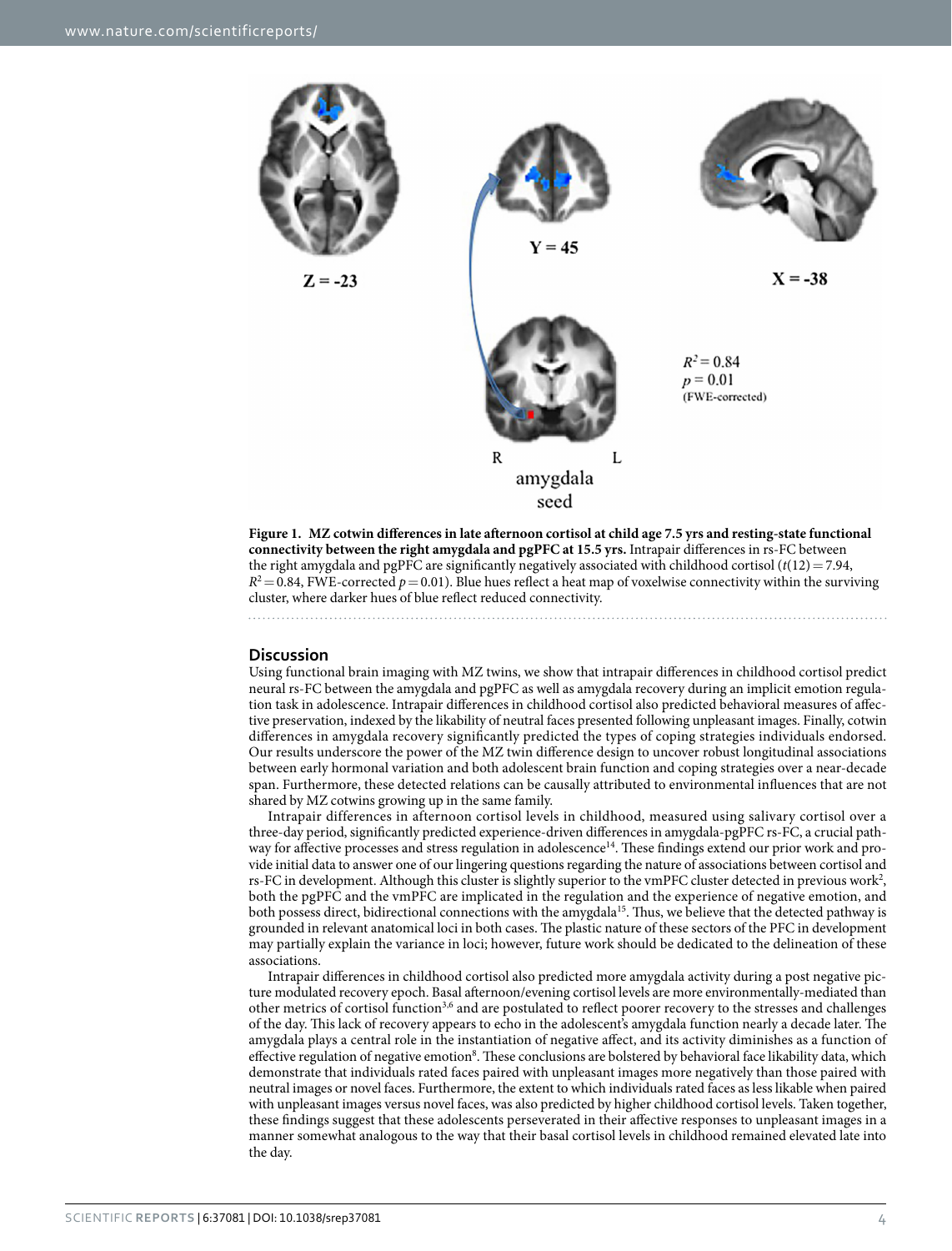

<span id="page-3-0"></span>**Figure 1. MZ cotwin differences in late afternoon cortisol at child age 7.5 yrs and resting-state functional connectivity between the right amygdala and pgPFC at 15.5 yrs.** Intrapair differences in rs-FC between the right amygdala and pgPFC are significantly negatively associated with childhood cortisol  $(t(12)=7.94$ ,  $R^2$  = 0.84, FWE-corrected *p* = 0.01). Blue hues reflect a heat map of voxelwise connectivity within the surviving cluster, where darker hues of blue reflect reduced connectivity.

#### **Discussion**

Using functional brain imaging with MZ twins, we show that intrapair differences in childhood cortisol predict neural rs-FC between the amygdala and pgPFC as well as amygdala recovery during an implicit emotion regulation task in adolescence. Intrapair differences in childhood cortisol also predicted behavioral measures of affective preservation, indexed by the likability of neutral faces presented following unpleasant images. Finally, cotwin differences in amygdala recovery significantly predicted the types of coping strategies individuals endorsed. Our results underscore the power of the MZ twin difference design to uncover robust longitudinal associations between early hormonal variation and both adolescent brain function and coping strategies over a near-decade span. Furthermore, these detected relations can be causally attributed to environmental influences that are not shared by MZ cotwins growing up in the same family.

Intrapair differences in afternoon cortisol levels in childhood, measured using salivary cortisol over a three-day period, significantly predicted experience-driven differences in amygdala-pgPFC rs-FC, a crucial pathway for affective processes and stress regulation in adolescence<sup>14</sup>. These findings extend our prior work and provide initial data to answer one of our lingering questions regarding the nature of associations between cortisol and rs-FC in development. Although this cluster is slightly superior to the vmPFC cluster detected in previous work<sup>[2](#page-8-1)</sup>, both the pgPFC and the vmPFC are implicated in the regulation and the experience of negative emotion, and both possess direct, bidirectional connections with the amygdala<sup>15</sup>. Thus, we believe that the detected pathway is grounded in relevant anatomical loci in both cases. The plastic nature of these sectors of the PFC in development may partially explain the variance in loci; however, future work should be dedicated to the delineation of these associations.

Intrapair differences in childhood cortisol also predicted more amygdala activity during a post negative picture modulated recovery epoch. Basal afternoon/evening cortisol levels are more environmentally-mediated than other metrics of cortisol function[3](#page-8-2),[6](#page-8-3) and are postulated to reflect poorer recovery to the stresses and challenges of the day. This lack of recovery appears to echo in the adolescent's amygdala function nearly a decade later. The amygdala plays a central role in the instantiation of negative affect, and its activity diminishes as a function of effective regulation of negative emotion<sup>8</sup>. These conclusions are bolstered by behavioral face likability data, which demonstrate that individuals rated faces paired with unpleasant images more negatively than those paired with neutral images or novel faces. Furthermore, the extent to which individuals rated faces as less likable when paired with unpleasant images versus novel faces, was also predicted by higher childhood cortisol levels. Taken together, these findings suggest that these adolescents perseverated in their affective responses to unpleasant images in a manner somewhat analogous to the way that their basal cortisol levels in childhood remained elevated late into the day.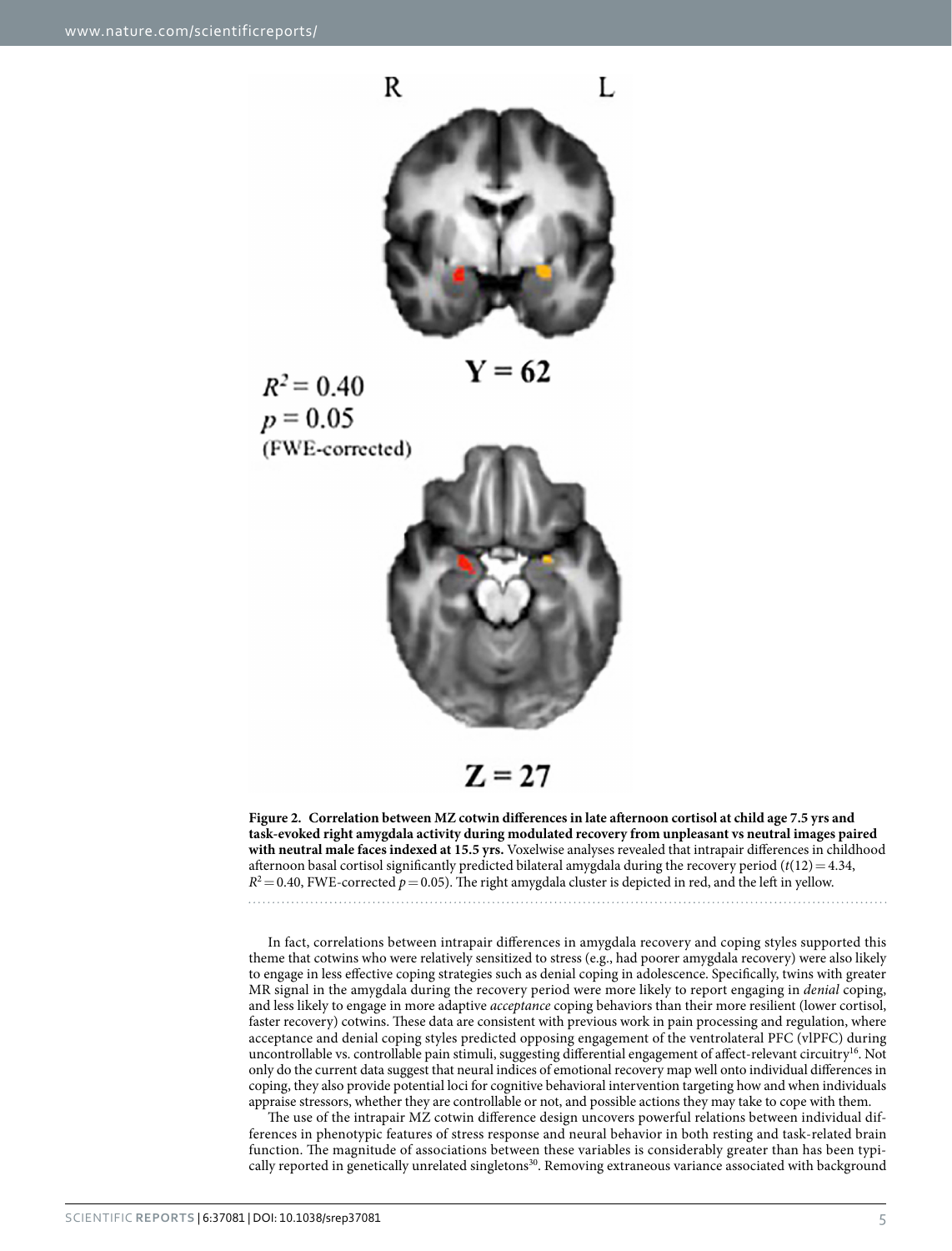

 $Y = 62$ 

 $R^2 = 0.40$  $p = 0.05$ (FWE-corrected)



 $Z = 27$ 

<span id="page-4-0"></span>**Figure 2. Correlation between MZ cotwin differences in late afternoon cortisol at child age 7.5 yrs and task-evoked right amygdala activity during modulated recovery from unpleasant vs neutral images paired with neutral male faces indexed at 15.5 yrs.** Voxelwise analyses revealed that intrapair differences in childhood afternoon basal cortisol significantly predicted bilateral amygdala during the recovery period  $(t(12)=4.34$ ,  $R^2$  = 0.40, FWE-corrected  $p$  = 0.05). The right amygdala cluster is depicted in red, and the left in yellow. 

In fact, correlations between intrapair differences in amygdala recovery and coping styles supported this theme that cotwins who were relatively sensitized to stress (e.g., had poorer amygdala recovery) were also likely to engage in less effective coping strategies such as denial coping in adolescence. Specifically, twins with greater MR signal in the amygdala during the recovery period were more likely to report engaging in *denial* coping, and less likely to engage in more adaptive *acceptance* coping behaviors than their more resilient (lower cortisol, faster recovery) cotwins. These data are consistent with previous work in pain processing and regulation, where acceptance and denial coping styles predicted opposing engagement of the ventrolateral PFC (vlPFC) during uncontrollable vs. controllable pain stimuli, suggesting differential engagement of affect-relevant circuitry<sup>16</sup>. Not only do the current data suggest that neural indices of emotional recovery map well onto individual differences in coping, they also provide potential loci for cognitive behavioral intervention targeting how and when individuals appraise stressors, whether they are controllable or not, and possible actions they may take to cope with them.

The use of the intrapair MZ cotwin difference design uncovers powerful relations between individual differences in phenotypic features of stress response and neural behavior in both resting and task-related brain function. The magnitude of associations between these variables is considerably greater than has been typically reported in genetically unrelated singletons<sup>30</sup>. Removing extraneous variance associated with background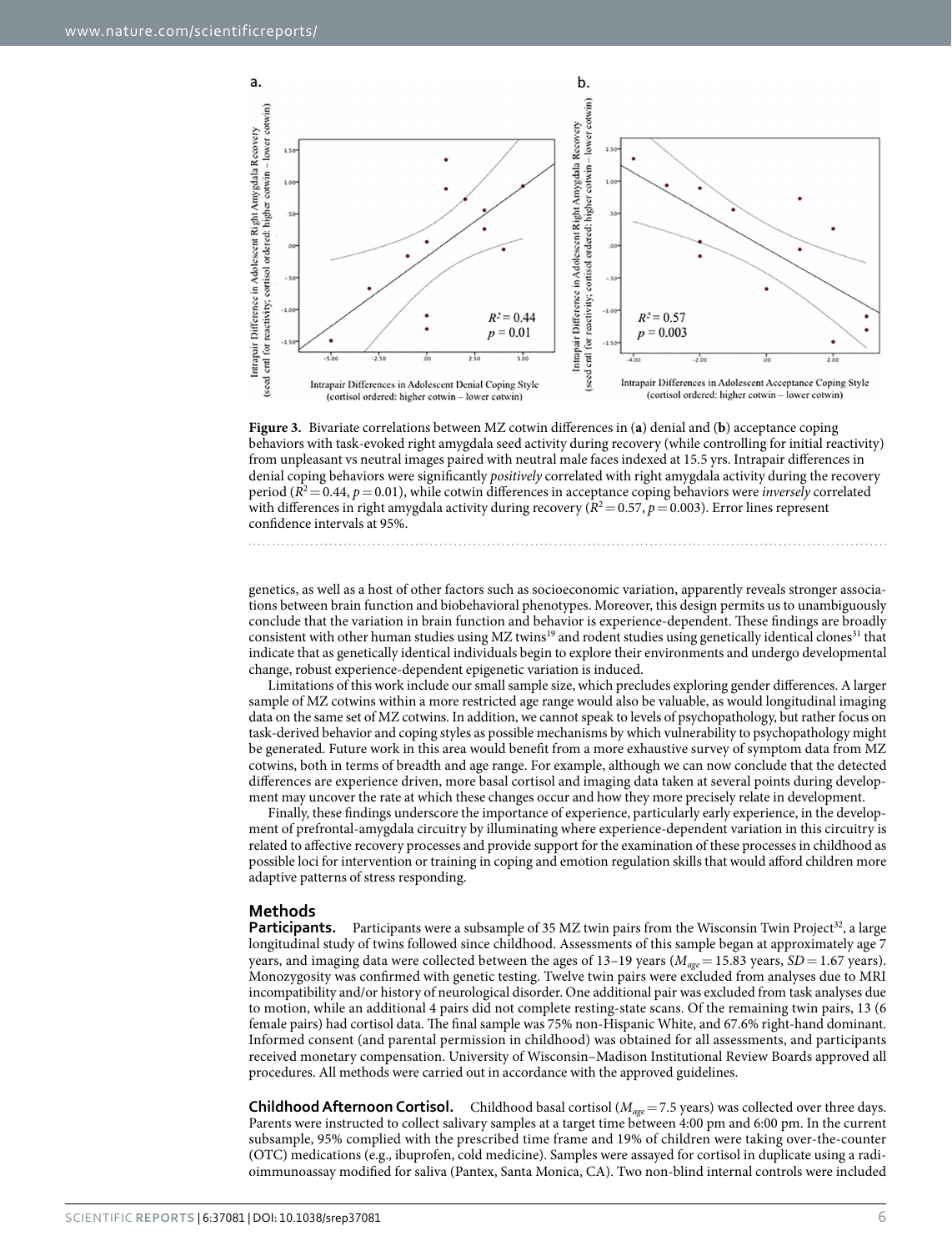

<span id="page-5-0"></span>**Figure 3.** Bivariate correlations between MZ cotwin differences in (**a**) denial and (**b**) acceptance coping behaviors with task-evoked right amygdala seed activity during recovery (while controlling for initial reactivity) from unpleasant vs neutral images paired with neutral male faces indexed at 15.5 yrs. Intrapair differences in denial coping behaviors were significantly *positively* correlated with right amygdala activity during the recovery period  $(R^2=0.44, p=0.01)$ , while cotwin differences in acceptance coping behaviors were *inversely* correlated with differences in right amygdala activity during recovery  $(R^2 = 0.57, p = 0.003)$ . Error lines represent confidence intervals at 95%.

genetics, as well as a host of other factors such as socioeconomic variation, apparently reveals stronger associations between brain function and biobehavioral phenotypes. Moreover, this design permits us to unambiguously conclude that the variation in brain function and behavior is experience-dependent. These findings are broadly consistent with other human studies using MZ twins<sup>19</sup> and rodent studies using genetically identical clones<sup>31</sup> that indicate that as genetically identical individuals begin to explore their environments and undergo developmental change, robust experience-dependent epigenetic variation is induced.

Limitations of this work include our small sample size, which precludes exploring gender differences. A larger sample of MZ cotwins within a more restricted age range would also be valuable, as would longitudinal imaging data on the same set of MZ cotwins. In addition, we cannot speak to levels of psychopathology, but rather focus on task-derived behavior and coping styles as possible mechanisms by which vulnerability to psychopathology might be generated. Future work in this area would benefit from a more exhaustive survey of symptom data from MZ cotwins, both in terms of breadth and age range. For example, although we can now conclude that the detected differences are experience driven, more basal cortisol and imaging data taken at several points during development may uncover the rate at which these changes occur and how they more precisely relate in development.

Finally, these findings underscore the importance of experience, particularly early experience, in the development of prefrontal-amygdala circuitry by illuminating where experience-dependent variation in this circuitry is related to affective recovery processes and provide support for the examination of these processes in childhood as possible loci for intervention or training in coping and emotion regulation skills that would afford children more adaptive patterns of stress responding.

#### **Methods**

**Participants.** Participants were a subsample of 35 MZ twin pairs from the Wisconsin Twin Project<sup>[32](#page-9-8)</sup>, a large longitudinal study of twins followed since childhood. Assessments of this sample began at approximately age 7 years, and imaging data were collected between the ages of 13-19 years ( $M_{age}$  = 15.83 years, *SD* = 1.67 years). Monozygosity was confirmed with genetic testing. Twelve twin pairs were excluded from analyses due to MRI incompatibility and/or history of neurological disorder. One additional pair was excluded from task analyses due to motion, while an additional 4 pairs did not complete resting-state scans. Of the remaining twin pairs, 13 (6 female pairs) had cortisol data. The final sample was 75% non-Hispanic White, and 67.6% right-hand dominant. Informed consent (and parental permission in childhood) was obtained for all assessments, and participants received monetary compensation. University of Wisconsin–Madison Institutional Review Boards approved all procedures. All methods were carried out in accordance with the approved guidelines.

**Childhood Afternoon Cortisol.** Childhood basal cortisol (*M<sub>age</sub>* = 7.5 years) was collected over three days. Parents were instructed to collect salivary samples at a target time between 4:00 pm and 6:00 pm. In the current subsample, 95% complied with the prescribed time frame and 19% of children were taking over-the-counter (OTC) medications (e.g., ibuprofen, cold medicine). Samples were assayed for cortisol in duplicate using a radioimmunoassay modified for saliva (Pantex, Santa Monica, CA). Two non-blind internal controls were included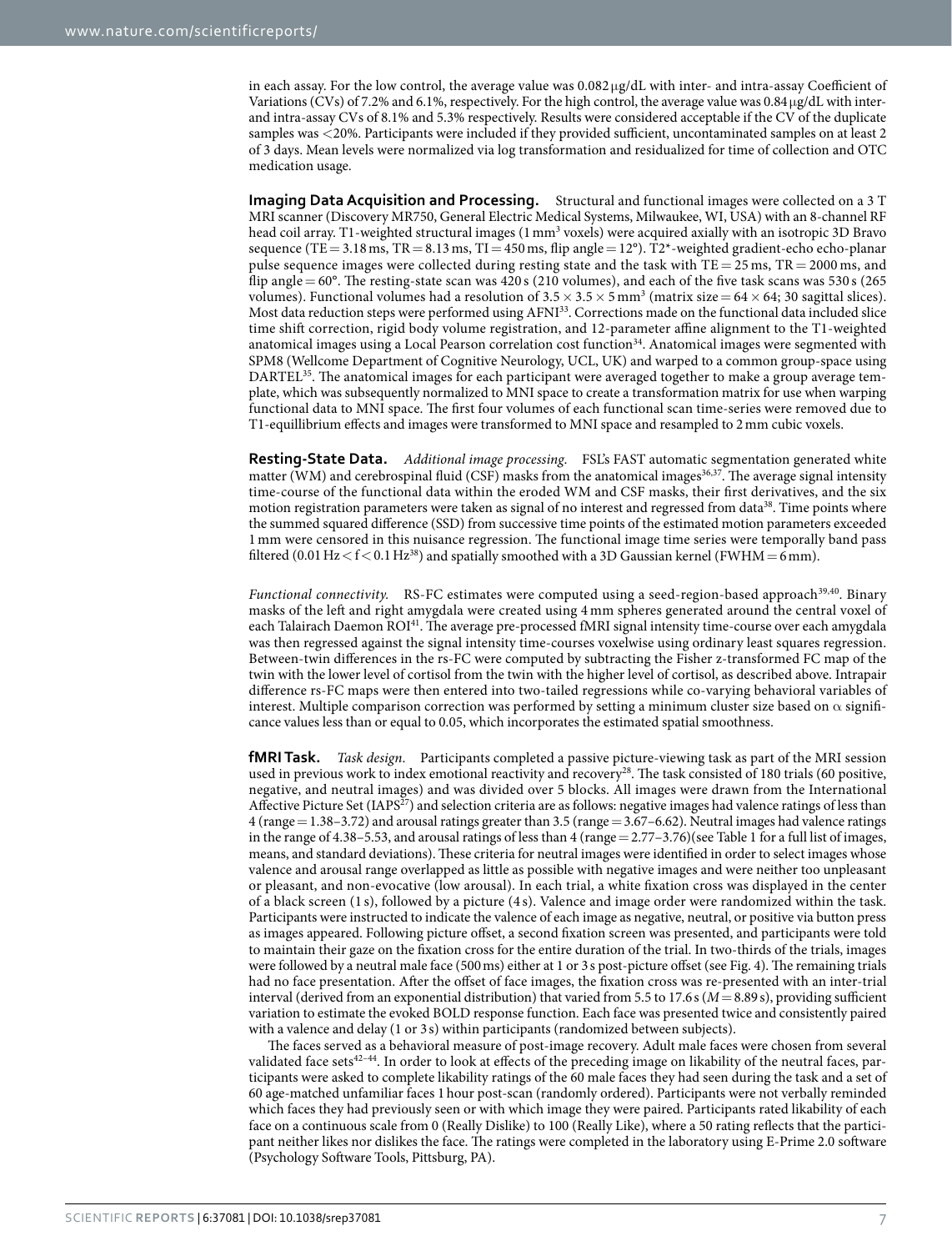in each assay. For the low control, the average value was  $0.082 \mu g/dL$  with inter- and intra-assay Coefficient of Variations (CVs) of 7.2% and 6.1%, respectively. For the high control, the average value was 0.84 μg/dL with interand intra-assay CVs of 8.1% and 5.3% respectively. Results were considered acceptable if the CV of the duplicate samples was <20%. Participants were included if they provided sufficient, uncontaminated samples on at least 2 of 3 days. Mean levels were normalized via log transformation and residualized for time of collection and OTC medication usage.

**Imaging Data Acquisition and Processing.** Structural and functional images were collected on a 3 T MRI scanner (Discovery MR750, General Electric Medical Systems, Milwaukee, WI, USA) with an 8-channel RF head coil array. T1-weighted structural images (1 mm<sup>3</sup> voxels) were acquired axially with an isotropic 3D Bravo sequence (TE = 3.18 ms, TR = 8.13 ms, TI = 450 ms, flip angle =  $12^{\circ}$ ). T2\*-weighted gradient-echo echo-planar pulse sequence images were collected during resting state and the task with  $TE = 25$  ms,  $TR = 2000$  ms, and flip angle =  $60^\circ$ . The resting-state scan was  $420 \text{ s}$  (210 volumes), and each of the five task scans was  $530 \text{ s}$  (265 volumes). Functional volumes had a resolution of  $3.5 \times 3.5 \times 5 \text{ mm}^3$  (matrix size  $= 64 \times 64$ ; 30 sagittal slices). Most data reduction steps were performed using AFN[I33.](#page-9-9) Corrections made on the functional data included slice time shift correction, rigid body volume registration, and 12-parameter affine alignment to the T1-weighted anatomical images using a Local Pearson correlation cost function<sup>34</sup>. Anatomical images were segmented with SPM8 (Wellcome Department of Cognitive Neurology, UCL, UK) and warped to a common group-space using DARTEL<sup>35</sup>. The anatomical images for each participant were averaged together to make a group average template, which was subsequently normalized to MNI space to create a transformation matrix for use when warping functional data to MNI space. The first four volumes of each functional scan time-series were removed due to T1-equillibrium effects and images were transformed to MNI space and resampled to 2mm cubic voxels.

**Resting-State Data.** *Additional image processing*. FSL's FAST automatic segmentation generated white matter (WM) and cerebrospinal fluid (CSF) masks from the anatomical images  $36,37$  $36,37$ . The average signal intensity time-course of the functional data within the eroded WM and CSF masks, their first derivatives, and the six motion registration parameters were taken as signal of no interest and regressed from data<sup>[38](#page-9-14)</sup>. Time points where the summed squared difference (SSD) from successive time points of the estimated motion parameters exceeded 1 mm were censored in this nuisance regression. The functional image time series were temporally band pass filtered (0.01 Hz < f < 0.1 Hz<sup>38</sup>) and spatially smoothed with a 3D Gaussian kernel (FWHM = 6 mm).

*Functional connectivity.* RS-FC estimates were computed using a seed-region-based approach<sup>[39,](#page-9-15)[40](#page-9-16)</sup>. Binary masks of the left and right amygdala were created using 4 mm spheres generated around the central voxel of each Talairach Daemon ROI<sup>41</sup>. The average pre-processed fMRI signal intensity time-course over each amygdala was then regressed against the signal intensity time-courses voxelwise using ordinary least squares regression. Between-twin differences in the rs-FC were computed by subtracting the Fisher z-transformed FC map of the twin with the lower level of cortisol from the twin with the higher level of cortisol, as described above. Intrapair difference rs-FC maps were then entered into two-tailed regressions while co-varying behavioral variables of interest. Multiple comparison correction was performed by setting a minimum cluster size based on  $\alpha$  significance values less than or equal to 0.05, which incorporates the estimated spatial smoothness.

**fMRI Task.** *Task design*. Participants completed a passive picture-viewing task as part of the MRI session used in previous work to index emotional reactivity and recovery<sup>28</sup>. The task consisted of 180 trials (60 positive, negative, and neutral images) and was divided over 5 blocks. All images were drawn from the International Affective Picture Set (IAPS<sup>27</sup>) and selection criteria are as follows: negative images had valence ratings of less than 4 (range= 1.38–3.72) and arousal ratings greater than 3.5 (range= 3.67–6.62). Neutral images had valence ratings in the range of 4.38–5.53, and arousal ratings of less than  $4$  (range  $= 2.77 - 3.76$ )(see [Table 1](#page-7-0) for a full list of images, means, and standard deviations). These criteria for neutral images were identified in order to select images whose valence and arousal range overlapped as little as possible with negative images and were neither too unpleasant or pleasant, and non-evocative (low arousal). In each trial, a white fixation cross was displayed in the center of a black screen (1 s), followed by a picture (4 s). Valence and image order were randomized within the task. Participants were instructed to indicate the valence of each image as negative, neutral, or positive via button press as images appeared. Following picture offset, a second fixation screen was presented, and participants were told to maintain their gaze on the fixation cross for the entire duration of the trial. In two-thirds of the trials, images were followed by a neutral male face (500ms) either at 1 or 3 s post-picture offset (see [Fig. 4\)](#page-8-22). The remaining trials had no face presentation. After the offset of face images, the fixation cross was re-presented with an inter-trial interval (derived from an exponential distribution) that varied from 5.5 to 17.6s (*M*= 8.89 s), providing sufficient variation to estimate the evoked BOLD response function. Each face was presented twice and consistently paired with a valence and delay (1 or 3 s) within participants (randomized between subjects).

The faces served as a behavioral measure of post-image recovery. Adult male faces were chosen from several validated face sets<sup>42-44</sup>. In order to look at effects of the preceding image on likability of the neutral faces, participants were asked to complete likability ratings of the 60 male faces they had seen during the task and a set of 60 age-matched unfamiliar faces 1hour post-scan (randomly ordered). Participants were not verbally reminded which faces they had previously seen or with which image they were paired. Participants rated likability of each face on a continuous scale from 0 (Really Dislike) to 100 (Really Like), where a 50 rating reflects that the participant neither likes nor dislikes the face. The ratings were completed in the laboratory using E-Prime 2.0 software (Psychology Software Tools, Pittsburg, PA).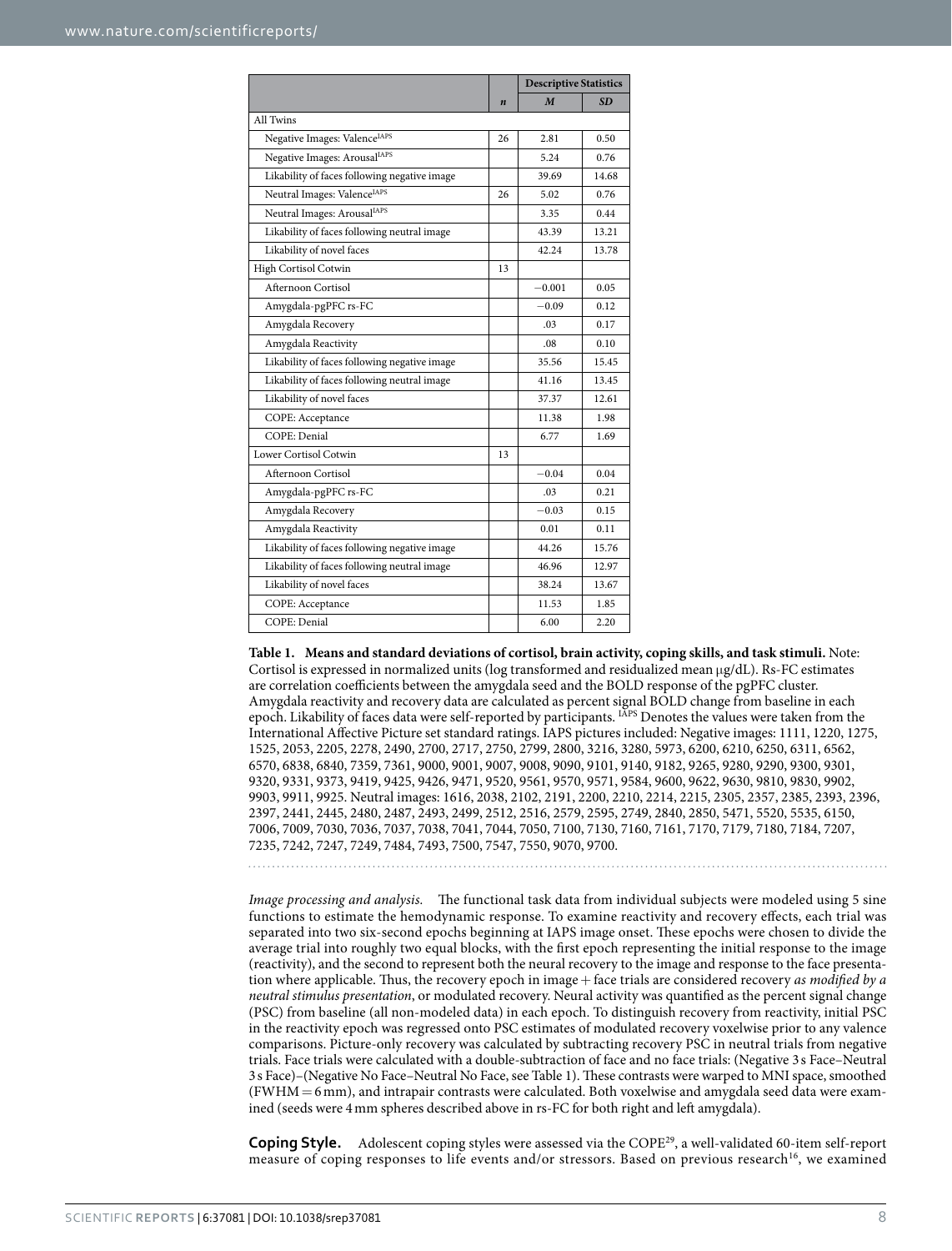<span id="page-7-0"></span>

|                                              |                  | <b>Descriptive Statistics</b> |           |
|----------------------------------------------|------------------|-------------------------------|-----------|
|                                              | $\boldsymbol{n}$ | M                             | <b>SD</b> |
| All Twins                                    |                  |                               |           |
| Negative Images: Valence <sup>IAPS</sup>     | 26               | 2.81                          | 0.50      |
| Negative Images: Arousal <sup>IAPS</sup>     |                  | 5.24                          | 0.76      |
| Likability of faces following negative image |                  | 39.69                         | 14.68     |
| Neutral Images: Valence <sup>IAPS</sup>      | 26               | 5.02                          | 0.76      |
| Neutral Images: Arousal <sup>IAPS</sup>      |                  | 3.35                          | 0.44      |
| Likability of faces following neutral image  |                  | 43.39                         | 13.21     |
| Likability of novel faces                    |                  | 42.24                         | 13.78     |
| High Cortisol Cotwin                         | 13               |                               |           |
| Afternoon Cortisol                           |                  | $-0.001$                      | 0.05      |
| Amygdala-pgPFC rs-FC                         |                  | $-0.09$                       | 0.12      |
| Amygdala Recovery                            |                  | .03                           | 0.17      |
| Amygdala Reactivity                          |                  | .08                           | 0.10      |
| Likability of faces following negative image |                  | 35.56                         | 15.45     |
| Likability of faces following neutral image  |                  | 41.16                         | 13.45     |
| Likability of novel faces                    |                  | 37.37                         | 12.61     |
| COPE: Acceptance                             |                  | 11.38                         | 1.98      |
| COPE: Denial                                 |                  | 6.77                          | 1.69      |
| Lower Cortisol Cotwin                        | 13               |                               |           |
| Afternoon Cortisol                           |                  | $-0.04$                       | 0.04      |
| Amygdala-pgPFC rs-FC                         |                  | .03                           | 0.21      |
| Amygdala Recovery                            |                  | $-0.03$                       | 0.15      |
| Amygdala Reactivity                          |                  | 0.01                          | 0.11      |
| Likability of faces following negative image |                  | 44.26                         | 15.76     |
| Likability of faces following neutral image  |                  | 46.96                         | 12.97     |
| Likability of novel faces                    |                  | 38.24                         | 13.67     |
| COPE: Acceptance                             |                  | 11.53                         | 1.85      |
| COPE: Denial                                 |                  | 6.00                          | 2.20      |

**Table 1. Means and standard deviations of cortisol, brain activity, coping skills, and task stimuli.** Note: Cortisol is expressed in normalized units (log transformed and residualized mean μg/dL). Rs-FC estimates are correlation coefficients between the amygdala seed and the BOLD response of the pgPFC cluster. Amygdala reactivity and recovery data are calculated as percent signal BOLD change from baseline in each epoch. Likability of faces data were self-reported by participants. IAPS Denotes the values were taken from the International Affective Picture set standard ratings. IAPS pictures included: Negative images: 1111, 1220, 1275, 1525, 2053, 2205, 2278, 2490, 2700, 2717, 2750, 2799, 2800, 3216, 3280, 5973, 6200, 6210, 6250, 6311, 6562, 6570, 6838, 6840, 7359, 7361, 9000, 9001, 9007, 9008, 9090, 9101, 9140, 9182, 9265, 9280, 9290, 9300, 9301, 9320, 9331, 9373, 9419, 9425, 9426, 9471, 9520, 9561, 9570, 9571, 9584, 9600, 9622, 9630, 9810, 9830, 9902, 9903, 9911, 9925. Neutral images: 1616, 2038, 2102, 2191, 2200, 2210, 2214, 2215, 2305, 2357, 2385, 2393, 2396, 2397, 2441, 2445, 2480, 2487, 2493, 2499, 2512, 2516, 2579, 2595, 2749, 2840, 2850, 5471, 5520, 5535, 6150, 7006, 7009, 7030, 7036, 7037, 7038, 7041, 7044, 7050, 7100, 7130, 7160, 7161, 7170, 7179, 7180, 7184, 7207, 7235, 7242, 7247, 7249, 7484, 7493, 7500, 7547, 7550, 9070, 9700.

*Image processing and analysis.* The functional task data from individual subjects were modeled using 5 sine functions to estimate the hemodynamic response. To examine reactivity and recovery effects, each trial was separated into two six-second epochs beginning at IAPS image onset. These epochs were chosen to divide the average trial into roughly two equal blocks, with the first epoch representing the initial response to the image (reactivity), and the second to represent both the neural recovery to the image and response to the face presentation where applicable. Thus, the recovery epoch in image+ face trials are considered recovery *as modified by a neutral stimulus presentation*, or modulated recovery. Neural activity was quantified as the percent signal change (PSC) from baseline (all non-modeled data) in each epoch. To distinguish recovery from reactivity, initial PSC in the reactivity epoch was regressed onto PSC estimates of modulated recovery voxelwise prior to any valence comparisons. Picture-only recovery was calculated by subtracting recovery PSC in neutral trials from negative trials. Face trials were calculated with a double-subtraction of face and no face trials: (Negative 3 s Face–Neutral 3s Face)–(Negative No Face–Neutral No Face, see [Table 1\)](#page-7-0). These contrasts were warped to MNI space, smoothed  $(FWHM = 6mm)$ , and intrapair contrasts were calculated. Both voxelwise and amygdala seed data were examined (seeds were 4mm spheres described above in rs-FC for both right and left amygdala).

**Coping Style.** Adolescent coping styles were assessed via the COP[E29](#page-9-5), a well-validated 60-item self-report measure of coping responses to life events and/or stressors. Based on previous research<sup>[16](#page-8-12)</sup>, we examined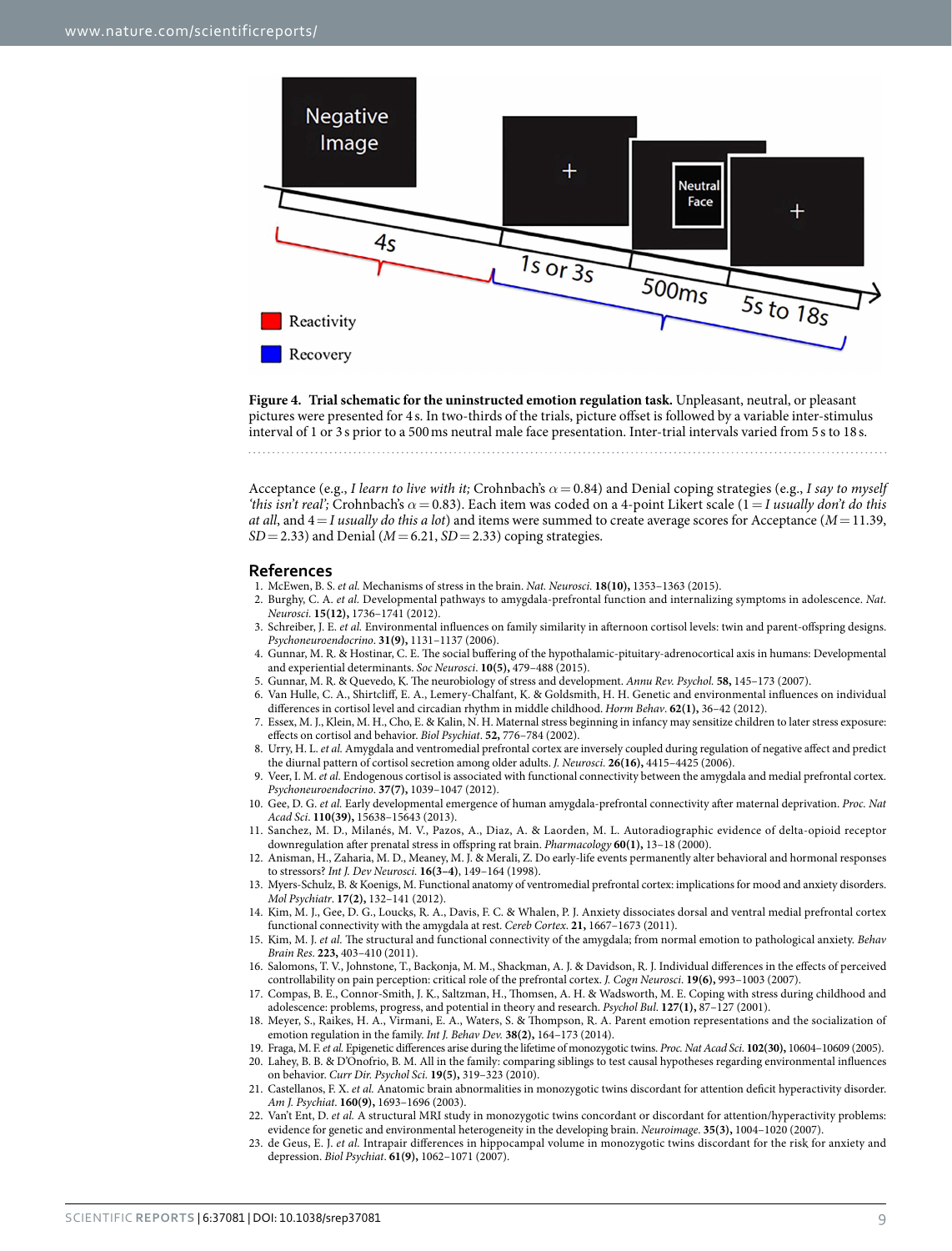

<span id="page-8-22"></span>**Figure 4. Trial schematic for the uninstructed emotion regulation task.** Unpleasant, neutral, or pleasant pictures were presented for 4 s. In two-thirds of the trials, picture offset is followed by a variable inter-stimulus interval of 1 or 3 s prior to a 500ms neutral male face presentation. Inter-trial intervals varied from 5 s to 18 s.

Acceptance (e.g., *I learn to live with it;* Crohnbach's *α*= 0.84) and Denial coping strategies (e.g., *I say to myself 'this isn't real';* Crohnbach's *α*= 0.83). Each item was coded on a 4-point Likert scale (1= *I usually don't do this at all*, and 4=*I usually do this a lot*) and items were summed to create average scores for Acceptance (*M*=11.39,  $SD = 2.33$ ) and Denial ( $M = 6.21$ ,  $SD = 2.33$ ) coping strategies.

#### **References**

- <span id="page-8-0"></span>1. McEwen, B. S. *et al.* Mechanisms of stress in the brain. *Nat. Neurosci.* **18(10),** 1353–1363 (2015).
- <span id="page-8-1"></span>2. Burghy, C. A. *et al.* Developmental pathways to amygdala-prefrontal function and internalizing symptoms in adolescence. *Nat. Neurosci.* **15(12),** 1736–1741 (2012).
- <span id="page-8-2"></span>3. Schreiber, J. E. *et al.* Environmental influences on family similarity in afternoon cortisol levels: twin and parent-offspring designs. *Psychoneuroendocrino*. **31(9),** 1131–1137 (2006).
- <span id="page-8-11"></span>4. Gunnar, M. R. & Hostinar, C. E. The social buffering of the hypothalamic-pituitary-adrenocortical axis in humans: Developmental and experiential determinants. *Soc Neurosci*. **10(5),** 479–488 (2015).
- 5. Gunnar, M. R. & Quevedo, K. The neurobiology of stress and development. *Annu Rev. Psychol.* **58,** 145–173 (2007).
- <span id="page-8-3"></span>6. Van Hulle, C. A., Shirtcliff, E. A., Lemery-Chalfant, K. & Goldsmith, H. H. Genetic and environmental influences on individual differences in cortisol level and circadian rhythm in middle childhood. *Horm Behav*. **62(1),** 36–42 (2012).
- <span id="page-8-4"></span>7. Essex, M. J., Klein, M. H., Cho, E. & Kalin, N. H. Maternal stress beginning in infancy may sensitize children to later stress exposure: effects on cortisol and behavior. *Biol Psychiat*. **52,** 776–784 (2002).
- <span id="page-8-5"></span>8. Urry, H. L. *et al.* Amygdala and ventromedial prefrontal cortex are inversely coupled during regulation of negative affect and predict the diurnal pattern of cortisol secretion among older adults. *J. Neurosci.* **26(16),** 4415–4425 (2006).
- <span id="page-8-6"></span>Veer, I. M. *et al.* Endogenous cortisol is associated with functional connectivity between the amygdala and medial prefrontal cortex. *Psychoneuroendocrino*. **37(7),** 1039–1047 (2012).
- <span id="page-8-7"></span>10. Gee, D. G. *et al.* Early developmental emergence of human amygdala-prefrontal connectivity after maternal deprivation. *Proc. Nat Acad Sci*. **110(39),** 15638–15643 (2013).
- <span id="page-8-8"></span>11. Sanchez, M. D., Milanés, M. V., Pazos, A., Diaz, A. & Laorden, M. L. Autoradiographic evidence of delta-opioid receptor downregulation after prenatal stress in offspring rat brain. *Pharmacology* **60(1),** 13–18 (2000).
- <span id="page-8-9"></span>12. Anisman, H., Zaharia, M. D., Meaney, M. J. & Merali, Z. Do early-life events permanently alter behavioral and hormonal responses to stressors? *Int J. Dev Neurosci.* **16(3–4)**, 149–164 (1998).
- <span id="page-8-10"></span>13. Myers-Schulz, B. & Koenigs, M. Functional anatomy of ventromedial prefrontal cortex: implications for mood and anxiety disorders. *Mol Psychiatr*. **17(2),** 132–141 (2012).
- <span id="page-8-20"></span>14. Kim, M. J., Gee, D. G., Loucks, R. A., Davis, F. C. & Whalen, P. J. Anxiety dissociates dorsal and ventral medial prefrontal cortex functional connectivity with the amygdala at rest. *Cereb Cortex*. **21,** 1667–1673 (2011).
- <span id="page-8-21"></span>15. Kim, M. J. *et al.* The structural and functional connectivity of the amygdala; from normal emotion to pathological anxiety. *Behav Brain Res*. **223,** 403–410 (2011).
- <span id="page-8-12"></span>16. Salomons, T. V., Johnstone, T., Backonja, M. M., Shackman, A. J. & Davidson, R. J. Individual differences in the effects of perceived controllability on pain perception: critical role of the prefrontal cortex. *J. Cogn Neurosci*. **19(6),** 993–1003 (2007).
- <span id="page-8-13"></span>17. Compas, B. E., Connor-Smith, J. K., Saltzman, H., Thomsen, A. H. & Wadsworth, M. E. Coping with stress during childhood and adolescence: problems, progress, and potential in theory and research. *Psychol Bul*. **127(1),** 87–127 (2001).
- <span id="page-8-14"></span>18. Meyer, S., Raikes, H. A., Virmani, E. A., Waters, S. & Thompson, R. A. Parent emotion representations and the socialization of emotion regulation in the family. *Int J. Behav Dev.* **38(2),** 164–173 (2014).
- <span id="page-8-15"></span>19. Fraga, M. F. *et al.* Epigenetic differences arise during the lifetime of monozygotic twins. *Proc. Nat Acad Sci*. **102(30),** 10604–10609 (2005).
- <span id="page-8-16"></span>20. Lahey, B. B. & D'Onofrio, B. M. All in the family: comparing siblings to test causal hypotheses regarding environmental influences on behavior. *Curr Dir. Psychol Sci.* **19(5),** 319–323 (2010).
- <span id="page-8-17"></span>21. Castellanos, F. X. *et al.* Anatomic brain abnormalities in monozygotic twins discordant for attention deficit hyperactivity disorder. *Am J. Psychiat*. **160(9),** 1693–1696 (2003).
- <span id="page-8-18"></span>22. Van't Ent, D. *et al.* A structural MRI study in monozygotic twins concordant or discordant for attention/hyperactivity problems: evidence for genetic and environmental heterogeneity in the developing brain. *Neuroimage*. **35(3),** 1004–1020 (2007).
- <span id="page-8-19"></span>23. de Geus, E. J. *et al.* Intrapair differences in hippocampal volume in monozygotic twins discordant for the risk for anxiety and depression. *Biol Psychiat*. **61(9),** 1062–1071 (2007).